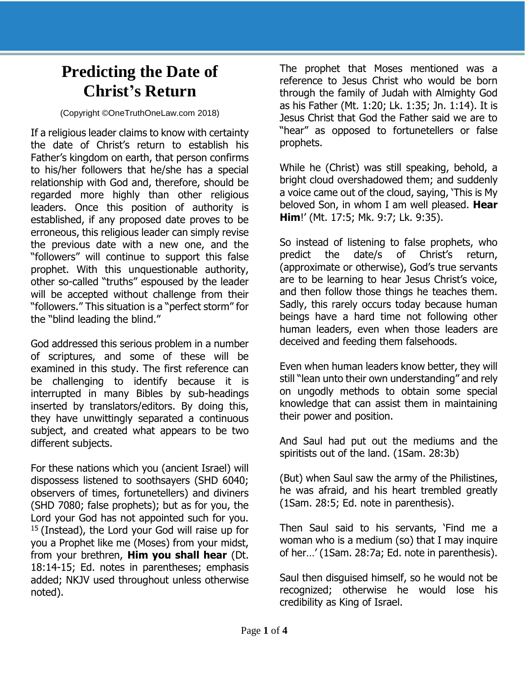## **Predicting the Date of Christ's Return**

## (Copyright ©OneTruthOneLaw.com 2018)

If a religious leader claims to know with certainty the date of Christ's return to establish his Father's kingdom on earth, that person confirms to his/her followers that he/she has a special relationship with God and, therefore, should be regarded more highly than other religious leaders. Once this position of authority is established, if any proposed date proves to be erroneous, this religious leader can simply revise the previous date with a new one, and the "followers" will continue to support this false prophet. With this unquestionable authority, other so-called "truths" espoused by the leader will be accepted without challenge from their "followers." This situation is a "perfect storm" for the "blind leading the blind."

God addressed this serious problem in a number of scriptures, and some of these will be examined in this study. The first reference can be challenging to identify because it is interrupted in many Bibles by sub-headings inserted by translators/editors. By doing this, they have unwittingly separated a continuous subject, and created what appears to be two different subjects.

For these nations which you (ancient Israel) will dispossess listened to soothsayers (SHD 6040; observers of times, fortunetellers) and diviners (SHD 7080; false prophets); but as for you, the Lord your God has not appointed such for you. <sup>15</sup> (Instead), the Lord your God will raise up for you a Prophet like me (Moses) from your midst, from your brethren, **Him you shall hear** (Dt. 18:14-15; Ed. notes in parentheses; emphasis added; NKJV used throughout unless otherwise noted).

The prophet that Moses mentioned was a reference to Jesus Christ who would be born through the family of Judah with Almighty God as his Father (Mt. 1:20; Lk. 1:35; Jn. 1:14). It is Jesus Christ that God the Father said we are to "hear" as opposed to fortunetellers or false prophets.

While he (Christ) was still speaking, behold, a bright cloud overshadowed them; and suddenly a voice came out of the cloud, saying, 'This is My beloved Son, in whom I am well pleased. **Hear Him**!' (Mt. 17:5; Mk. 9:7; Lk. 9:35).

So instead of listening to false prophets, who predict the date/s of Christ's return, (approximate or otherwise), God's true servants are to be learning to hear Jesus Christ's voice, and then follow those things he teaches them. Sadly, this rarely occurs today because human beings have a hard time not following other human leaders, even when those leaders are deceived and feeding them falsehoods.

Even when human leaders know better, they will still "lean unto their own understanding" and rely on ungodly methods to obtain some special knowledge that can assist them in maintaining their power and position.

And Saul had put out the mediums and the spiritists out of the land. (1Sam. 28:3b)

(But) when Saul saw the army of the Philistines, he was afraid, and his heart trembled greatly (1Sam. 28:5; Ed. note in parenthesis).

Then Saul said to his servants, 'Find me a woman who is a medium (so) that I may inquire of her…' (1Sam. 28:7a; Ed. note in parenthesis).

Saul then disguised himself, so he would not be recognized; otherwise he would lose his credibility as King of Israel.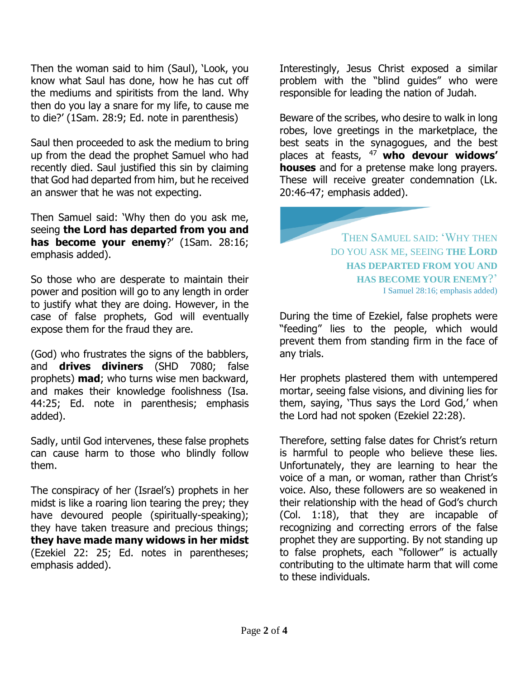Then the woman said to him (Saul), 'Look, you know what Saul has done, how he has cut off the mediums and spiritists from the land. Why then do you lay a snare for my life, to cause me to die?' (1Sam. 28:9; Ed. note in parenthesis)

Saul then proceeded to ask the medium to bring up from the dead the prophet Samuel who had recently died. Saul justified this sin by claiming that God had departed from him, but he received an answer that he was not expecting.

Then Samuel said: 'Why then do you ask me, seeing **the Lord has departed from you and has become your enemy**?' (1Sam. 28:16; emphasis added).

So those who are desperate to maintain their power and position will go to any length in order to justify what they are doing. However, in the case of false prophets, God will eventually expose them for the fraud they are.

(God) who frustrates the signs of the babblers, and **drives diviners** (SHD 7080; false prophets) **mad**; who turns wise men backward, and makes their knowledge foolishness (Isa. 44:25; Ed. note in parenthesis; emphasis added).

Sadly, until God intervenes, these false prophets can cause harm to those who blindly follow them.

The conspiracy of her (Israel's) prophets in her midst is like a roaring lion tearing the prey; they have devoured people (spiritually-speaking); they have taken treasure and precious things; **they have made many widows in her midst** (Ezekiel 22: 25; Ed. notes in parentheses; emphasis added).

Interestingly, Jesus Christ exposed a similar problem with the "blind guides" who were responsible for leading the nation of Judah.

Beware of the scribes, who desire to walk in long robes, love greetings in the marketplace, the best seats in the synagogues, and the best places at feasts, <sup>47</sup>**who devour widows' houses** and for a pretense make long prayers. These will receive greater condemnation (Lk. 20:46-47; emphasis added).

> THEN SAMUEL SAID: 'WHY THEN DO YOU ASK ME, SEEING **THE LORD HAS DEPARTED FROM YOU AND HAS BECOME YOUR ENEMY**?' I Samuel 28:16; emphasis added)

During the time of Ezekiel, false prophets were "feeding" lies to the people, which would prevent them from standing firm in the face of any trials.

Her prophets plastered them with untempered mortar, seeing false visions, and divining lies for them, saying, 'Thus says the Lord God,' when the Lord had not spoken (Ezekiel 22:28).

Therefore, setting false dates for Christ's return is harmful to people who believe these lies. Unfortunately, they are learning to hear the voice of a man, or woman, rather than Christ's voice. Also, these followers are so weakened in their relationship with the head of God's church (Col. 1:18), that they are incapable of recognizing and correcting errors of the false prophet they are supporting. By not standing up to false prophets, each "follower" is actually contributing to the ultimate harm that will come to these individuals.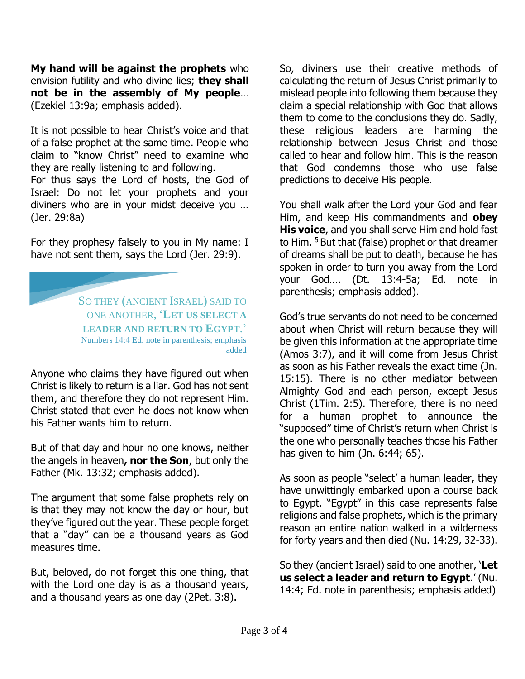**My hand will be against the prophets** who envision futility and who divine lies; **they shall not be in the assembly of My people**… (Ezekiel 13:9a; emphasis added).

It is not possible to hear Christ's voice and that of a false prophet at the same time. People who claim to "know Christ" need to examine who they are really listening to and following. For thus says the Lord of hosts, the God of Israel: Do not let your prophets and your diviners who are in your midst deceive you … (Jer. 29:8a)

For they prophesy falsely to you in My name: I have not sent them, says the Lord (Jer. 29:9).

SO THEY (ANCIENT ISRAEL) SAID TO ONE ANOTHER, '**LET US SELECT A LEADER AND RETURN TO EGYPT**.' Numbers 14:4 Ed. note in parenthesis; emphasis added

Anyone who claims they have figured out when Christ is likely to return is a liar. God has not sent them, and therefore they do not represent Him. Christ stated that even he does not know when his Father wants him to return.

But of that day and hour no one knows, neither the angels in heaven**, nor the Son**, but only the Father (Mk. 13:32; emphasis added).

The argument that some false prophets rely on is that they may not know the day or hour, but they've figured out the year. These people forget that a "day" can be a thousand years as God measures time.

But, beloved, do not forget this one thing, that with the Lord one day is as a thousand years, and a thousand years as one day (2Pet. 3:8).

So, diviners use their creative methods of calculating the return of Jesus Christ primarily to mislead people into following them because they claim a special relationship with God that allows them to come to the conclusions they do. Sadly, these religious leaders are harming the relationship between Jesus Christ and those called to hear and follow him. This is the reason that God condemns those who use false predictions to deceive His people.

You shall walk after the Lord your God and fear Him, and keep His commandments and **obey His voice**, and you shall serve Him and hold fast to Him. <sup>5</sup> But that (false) prophet or that dreamer of dreams shall be put to death, because he has spoken in order to turn you away from the Lord your God…. (Dt. 13:4-5a; Ed. note in parenthesis; emphasis added).

God's true servants do not need to be concerned about when Christ will return because they will be given this information at the appropriate time (Amos 3:7), and it will come from Jesus Christ as soon as his Father reveals the exact time (Jn. 15:15). There is no other mediator between Almighty God and each person, except Jesus Christ (1Tim. 2:5). Therefore, there is no need for a human prophet to announce the "supposed" time of Christ's return when Christ is the one who personally teaches those his Father has given to him (Jn. 6:44; 65).

As soon as people "select' a human leader, they have unwittingly embarked upon a course back to Egypt. "Egypt" in this case represents false religions and false prophets, which is the primary reason an entire nation walked in a wilderness for forty years and then died (Nu. 14:29, 32-33).

So they (ancient Israel) said to one another, '**Let us select a leader and return to Egypt**.' (Nu. 14:4; Ed. note in parenthesis; emphasis added)